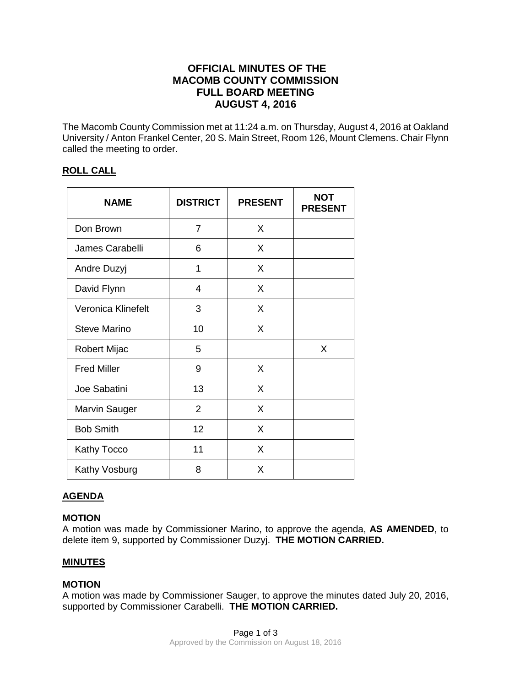# **OFFICIAL MINUTES OF THE MACOMB COUNTY COMMISSION FULL BOARD MEETING AUGUST 4, 2016**

The Macomb County Commission met at 11:24 a.m. on Thursday, August 4, 2016 at Oakland University / Anton Frankel Center, 20 S. Main Street, Room 126, Mount Clemens. Chair Flynn called the meeting to order.

## **ROLL CALL**

| <b>NAME</b>          | <b>DISTRICT</b> | <b>PRESENT</b> | <b>NOT</b><br><b>PRESENT</b> |
|----------------------|-----------------|----------------|------------------------------|
| Don Brown            | $\overline{7}$  | X              |                              |
| James Carabelli      | 6               | X              |                              |
| Andre Duzyj          | 1               | X              |                              |
| David Flynn          | 4               | X              |                              |
| Veronica Klinefelt   | 3               | X              |                              |
| <b>Steve Marino</b>  | 10              | X              |                              |
| Robert Mijac         | 5               |                | X                            |
| <b>Fred Miller</b>   | 9               | X              |                              |
| Joe Sabatini         | 13              | X              |                              |
| <b>Marvin Sauger</b> | $\overline{2}$  | X              |                              |
| <b>Bob Smith</b>     | 12              | X              |                              |
| Kathy Tocco          | 11              | X              |                              |
| Kathy Vosburg        | 8               | X              |                              |

## **AGENDA**

## **MOTION**

A motion was made by Commissioner Marino, to approve the agenda, **AS AMENDED**, to delete item 9, supported by Commissioner Duzyj. **THE MOTION CARRIED.**

## **MINUTES**

## **MOTION**

A motion was made by Commissioner Sauger, to approve the minutes dated July 20, 2016, supported by Commissioner Carabelli. **THE MOTION CARRIED.**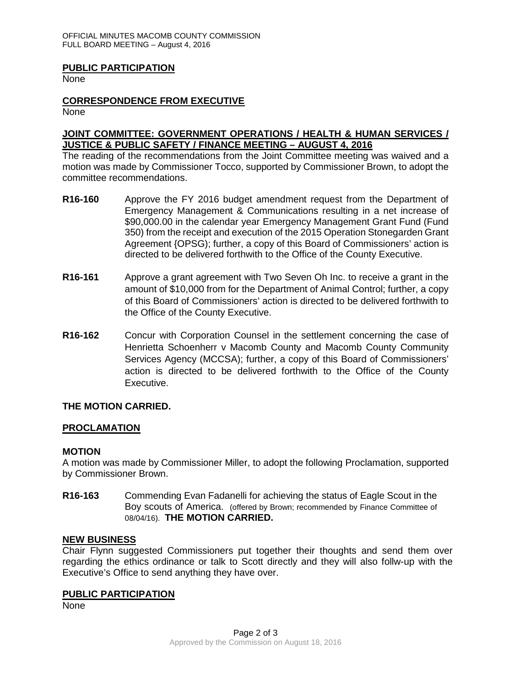#### **PUBLIC PARTICIPATION**

None

## **CORRESPONDENCE FROM EXECUTIVE**

None

#### **JOINT COMMITTEE: GOVERNMENT OPERATIONS / HEALTH & HUMAN SERVICES / JUSTICE & PUBLIC SAFETY / FINANCE MEETING – AUGUST 4, 2016**

The reading of the recommendations from the Joint Committee meeting was waived and a motion was made by Commissioner Tocco, supported by Commissioner Brown, to adopt the committee recommendations.

- **R16-160** Approve the FY 2016 budget amendment request from the Department of Emergency Management & Communications resulting in a net increase of \$90,000.00 in the calendar year Emergency Management Grant Fund (Fund 350) from the receipt and execution of the 2015 Operation Stonegarden Grant Agreement {OPSG); further, a copy of this Board of Commissioners' action is directed to be delivered forthwith to the Office of the County Executive.
- **R16-161** Approve a grant agreement with Two Seven Oh Inc. to receive a grant in the amount of \$10,000 from for the Department of Animal Control; further, a copy of this Board of Commissioners' action is directed to be delivered forthwith to the Office of the County Executive.
- **R16-162** Concur with Corporation Counsel in the settlement concerning the case of Henrietta Schoenherr v Macomb County and Macomb County Community Services Agency (MCCSA); further, a copy of this Board of Commissioners' action is directed to be delivered forthwith to the Office of the County Executive.

## **THE MOTION CARRIED.**

#### **PROCLAMATION**

#### **MOTION**

A motion was made by Commissioner Miller, to adopt the following Proclamation, supported by Commissioner Brown.

**R16-163** Commending Evan Fadanelli for achieving the status of Eagle Scout in the Boy scouts of America. (offered by Brown; recommended by Finance Committee of 08/04/16). **THE MOTION CARRIED.**

#### **NEW BUSINESS**

Chair Flynn suggested Commissioners put together their thoughts and send them over regarding the ethics ordinance or talk to Scott directly and they will also follw-up with the Executive's Office to send anything they have over.

#### **PUBLIC PARTICIPATION**

None